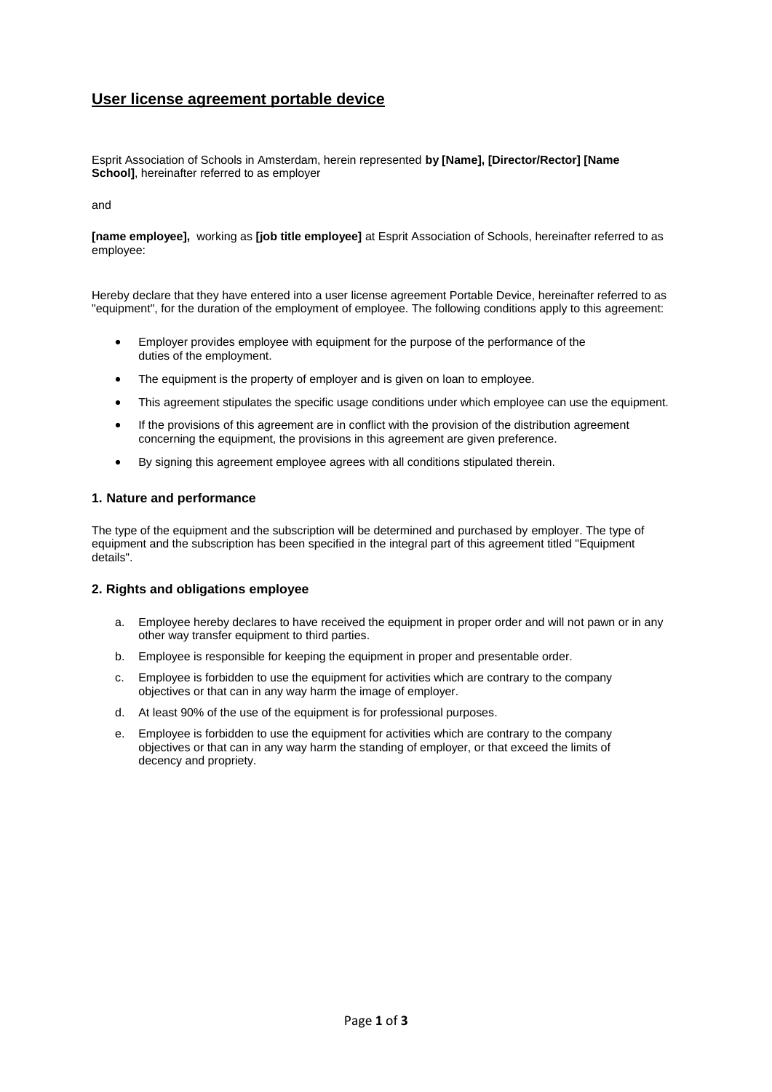# **User license agreement portable device**

Esprit Association of Schools in Amsterdam, herein represented **by [Name], [Director/Rector] [Name School]**, hereinafter referred to as employer

#### and

**[name employee],** working as **[job title employee]** at Esprit Association of Schools, hereinafter referred to as employee:

Hereby declare that they have entered into a user license agreement Portable Device, hereinafter referred to as "equipment", for the duration of the employment of employee. The following conditions apply to this agreement:

- Employer provides employee with equipment for the purpose of the performance of the duties of the employment.
- The equipment is the property of employer and is given on loan to employee.
- This agreement stipulates the specific usage conditions under which employee can use the equipment.
- If the provisions of this agreement are in conflict with the provision of the distribution agreement concerning the equipment, the provisions in this agreement are given preference.
- By signing this agreement employee agrees with all conditions stipulated therein.

#### **1. Nature and performance**

The type of the equipment and the subscription will be determined and purchased by employer. The type of equipment and the subscription has been specified in the integral part of this agreement titled "Equipment details".

#### **2. Rights and obligations employee**

- a. Employee hereby declares to have received the equipment in proper order and will not pawn or in any other way transfer equipment to third parties.
- b. Employee is responsible for keeping the equipment in proper and presentable order.
- c. Employee is forbidden to use the equipment for activities which are contrary to the company objectives or that can in any way harm the image of employer.
- d. At least 90% of the use of the equipment is for professional purposes.
- e. Employee is forbidden to use the equipment for activities which are contrary to the company objectives or that can in any way harm the standing of employer, or that exceed the limits of decency and propriety.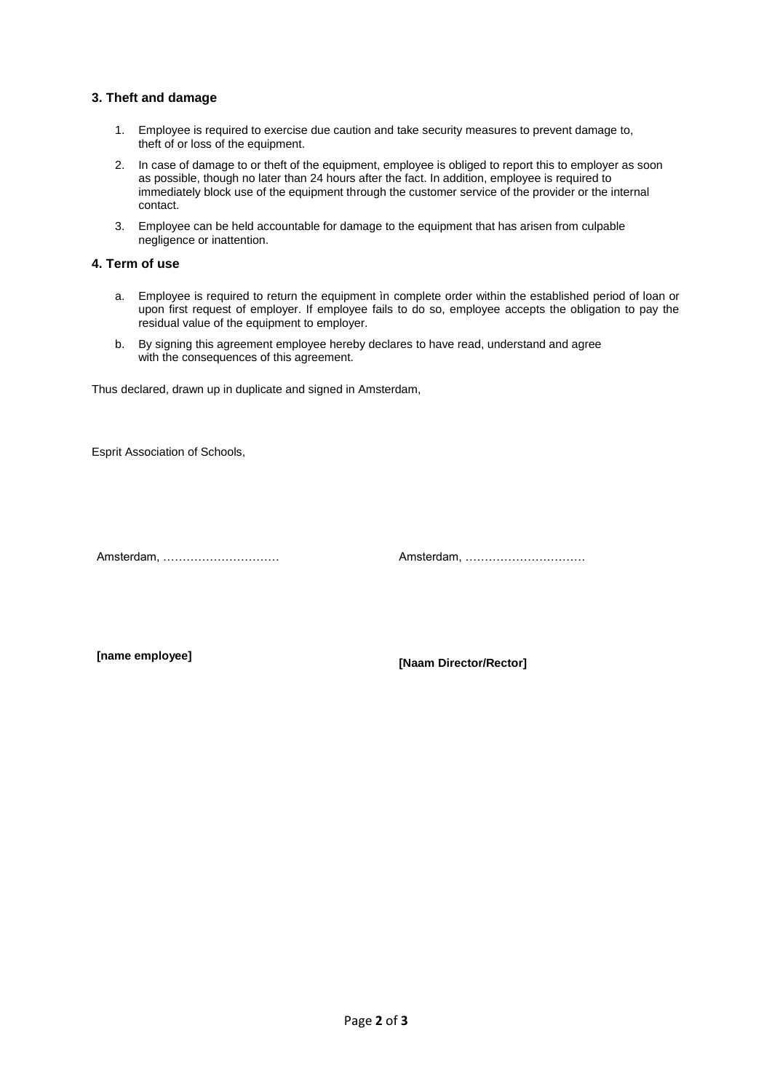## **3. Theft and damage**

- 1. Employee is required to exercise due caution and take security measures to prevent damage to, theft of or loss of the equipment.
- 2. In case of damage to or theft of the equipment, employee is obliged to report this to employer as soon as possible, though no later than 24 hours after the fact. In addition, employee is required to immediately block use of the equipment through the customer service of the provider or the internal contact.
- 3. Employee can be held accountable for damage to the equipment that has arisen from culpable negligence or inattention.

## **4. Term of use**

- a. Employee is required to return the equipment ìn complete order within the established period of loan or upon first request of employer. If employee fails to do so, employee accepts the obligation to pay the residual value of the equipment to employer.
- b. By signing this agreement employee hereby declares to have read, understand and agree with the consequences of this agreement.

Thus declared, drawn up in duplicate and signed in Amsterdam,

Esprit Association of Schools,

Amsterdam, ………………………… Amsterdam, ………………………….

**[name employee] [Naam Director/Rector]**